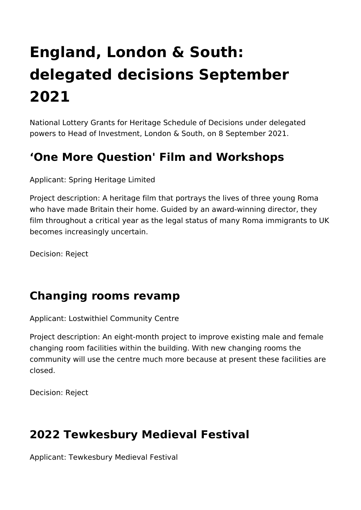# **England, London & South: delegated decisions September 2021**

National Lottery Grants for Heritage Schedule of Decisions under delegated powers to Head of Investment, London & South, on 8 September 2021.

## **'One More Question' Film and Workshops**

Applicant: Spring Heritage Limited

Project description: A heritage film that portrays the lives of three young Roma who have made Britain their home. Guided by an award-winning director, they film throughout a critical year as the legal status of many Roma immigrants to UK becomes increasingly uncertain.

Decision: Reject

### **Changing rooms revamp**

Applicant: Lostwithiel Community Centre

Project description: An eight-month project to improve existing male and female changing room facilities within the building. With new changing rooms the community will use the centre much more because at present these facilities are closed.

Decision: Reject

### **2022 Tewkesbury Medieval Festival**

Applicant: Tewkesbury Medieval Festival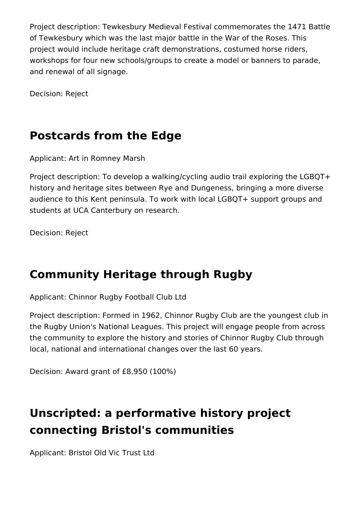Project description: Tewkesbury Medieval Festival commemorates the 1471 Battle of Tewkesbury which was the last major battle in the War of the Roses. This project would include heritage craft demonstrations, costumed horse riders, workshops for four new schools/groups to create a model or banners to parade, and renewal of all signage.

Decision: Reject

## **Postcards from the Edge**

Applicant: Art in Romney Marsh

Project description: To develop a walking/cycling audio trail exploring the LGBQT+ history and heritage sites between Rye and Dungeness, bringing a more diverse audience to this Kent peninsula. To work with local LGBQT+ support groups and students at UCA Canterbury on research.

Decision: Reject

### **Community Heritage through Rugby**

Applicant: Chinnor Rugby Football Club Ltd

Project description: Formed in 1962, Chinnor Rugby Club are the youngest club in the Rugby Union's National Leagues. This project will engage people from across the community to explore the history and stories of Chinnor Rugby Club through local, national and international changes over the last 60 years.

Decision: Award grant of £8,950 (100%)

# **Unscripted: a performative history project connecting Bristol's communities**

Applicant: Bristol Old Vic Trust Ltd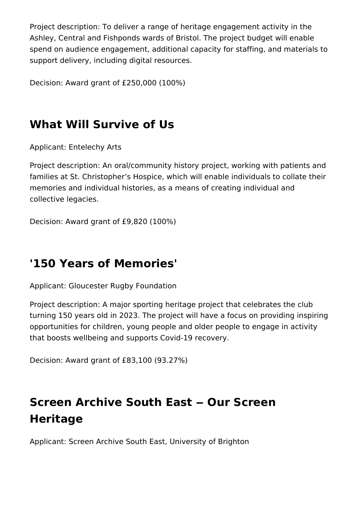Project description: To deliver a range of heritage engagement activity in the Ashley, Central and Fishponds wards of Bristol. The project budget will enable spend on audience engagement, additional capacity for staffing, and materials to support delivery, including digital resources.

Decision: Award grant of £250,000 (100%)

## **What Will Survive of Us**

Applicant: Entelechy Arts

Project description: An oral/community history project, working with patients and families at St. Christopher's Hospice, which will enable individuals to collate their memories and individual histories, as a means of creating individual and collective legacies.

Decision: Award grant of £9,820 (100%)

### **'150 Years of Memories'**

Applicant: Gloucester Rugby Foundation

Project description: A major sporting heritage project that celebrates the club turning 150 years old in 2023. The project will have a focus on providing inspiring opportunities for children, young people and older people to engage in activity that boosts wellbeing and supports Covid-19 recovery.

Decision: Award grant of £83,100 (93.27%)

# **Screen Archive South East ‒ Our Screen Heritage**

Applicant: Screen Archive South East, University of Brighton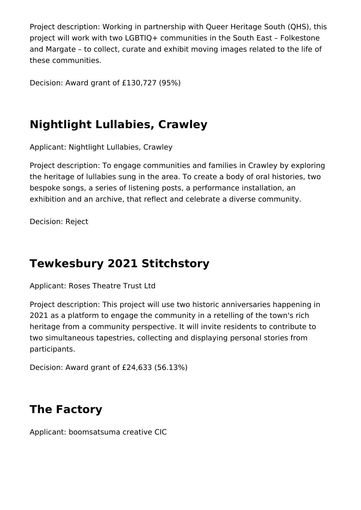Project description: Working in partnership with Queer Heritage South (QHS), this project will work with two LGBTIQ+ communities in the South East – Folkestone and Margate – to collect, curate and exhibit moving images related to the life of these communities.

Decision: Award grant of £130,727 (95%)

## **Nightlight Lullabies, Crawley**

Applicant: Nightlight Lullabies, Crawley

Project description: To engage communities and families in Crawley by exploring the heritage of lullabies sung in the area. To create a body of oral histories, two bespoke songs, a series of listening posts, a performance installation, an exhibition and an archive, that reflect and celebrate a diverse community.

Decision: Reject

### **Tewkesbury 2021 Stitchstory**

Applicant: Roses Theatre Trust Ltd

Project description: This project will use two historic anniversaries happening in 2021 as a platform to engage the community in a retelling of the town's rich heritage from a community perspective. It will invite residents to contribute to two simultaneous tapestries, collecting and displaying personal stories from participants.

Decision: Award grant of £24,633 (56.13%)

### **The Factory**

Applicant: boomsatsuma creative CIC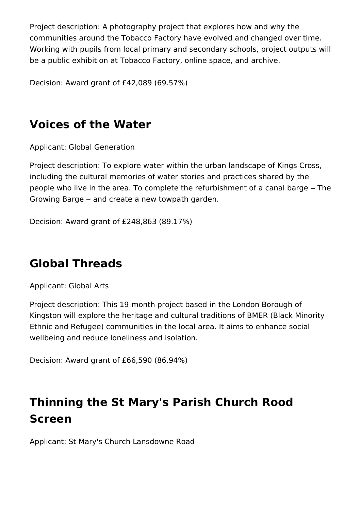Project description: A photography project that explores how and why the communities around the Tobacco Factory have evolved and changed over time. Working with pupils from local primary and secondary schools, project outputs will be a public exhibition at Tobacco Factory, online space, and archive.

Decision: Award grant of £42,089 (69.57%)

# **Voices of the Water**

Applicant: Global Generation

Project description: To explore water within the urban landscape of Kings Cross, including the cultural memories of water stories and practices shared by the people who live in the area. To complete the refurbishment of a canal barge – The Growing Barge – and create a new towpath garden.

Decision: Award grant of £248,863 (89.17%)

## **Global Threads**

Applicant: Global Arts

Project description: This 19-month project based in the London Borough of Kingston will explore the heritage and cultural traditions of BMER (Black Minority Ethnic and Refugee) communities in the local area. It aims to enhance social wellbeing and reduce loneliness and isolation.

Decision: Award grant of £66,590 (86.94%)

# **Thinning the St Mary's Parish Church Rood Screen**

Applicant: St Mary's Church Lansdowne Road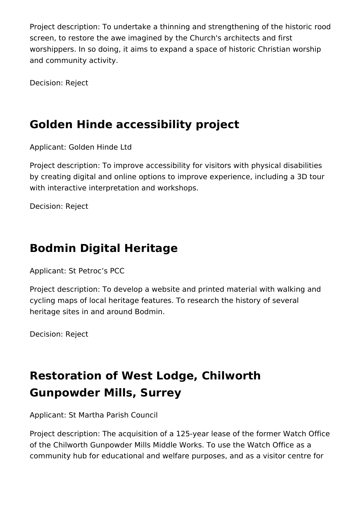Project description: To undertake a thinning and strengthening of the historic rood screen, to restore the awe imagined by the Church's architects and first worshippers. In so doing, it aims to expand a space of historic Christian worship and community activity.

Decision: Reject

# **Golden Hinde accessibility project**

Applicant: Golden Hinde Ltd

Project description: To improve accessibility for visitors with physical disabilities by creating digital and online options to improve experience, including a 3D tour with interactive interpretation and workshops.

Decision: Reject

# **Bodmin Digital Heritage**

Applicant: St Petroc's PCC

Project description: To develop a website and printed material with walking and cycling maps of local heritage features. To research the history of several heritage sites in and around Bodmin.

Decision: Reject

# **Restoration of West Lodge, Chilworth Gunpowder Mills, Surrey**

Applicant: St Martha Parish Council

Project description: The acquisition of a 125-year lease of the former Watch Office of the Chilworth Gunpowder Mills Middle Works. To use the Watch Office as a community hub for educational and welfare purposes, and as a visitor centre for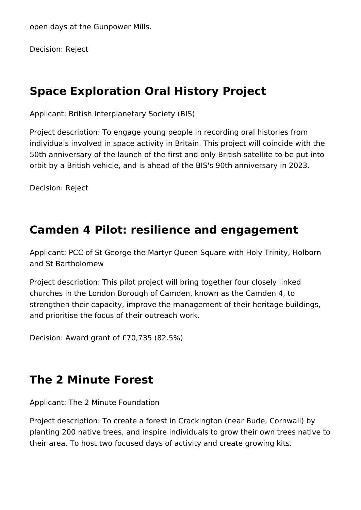open days at the Gunpower Mills.

Decision: Reject

#### **Space Exploration Oral History Project**

Applicant: British Interplanetary Society (BIS)

Project description: To engage young people in recording oral histories from individuals involved in space activity in Britain. This project will coincide with the 50th anniversary of the launch of the first and only British satellite to be put into orbit by a British vehicle, and is ahead of the BIS's 90th anniversary in 2023.

Decision: Reject

#### **Camden 4 Pilot: resilience and engagement**

Applicant: PCC of St George the Martyr Queen Square with Holy Trinity, Holborn and St Bartholomew

Project description: This pilot project will bring together four closely linked churches in the London Borough of Camden, known as the Camden 4, to strengthen their capacity, improve the management of their heritage buildings, and prioritise the focus of their outreach work.

Decision: Award grant of £70,735 (82.5%)

## **The 2 Minute Forest**

Applicant: The 2 Minute Foundation

Project description: To create a forest in Crackington (near Bude, Cornwall) by planting 200 native trees, and inspire individuals to grow their own trees native to their area. To host two focused days of activity and create growing kits.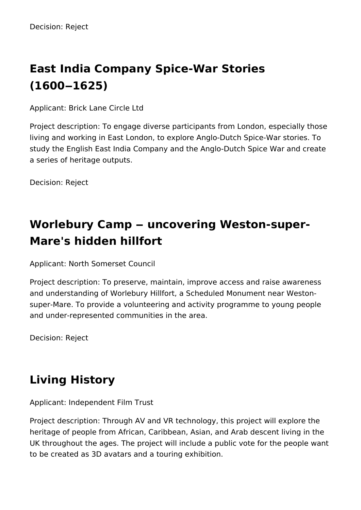# **East India Company Spice-War Stories (1600‒1625)**

Applicant: Brick Lane Circle Ltd

Project description: To engage diverse participants from London, especially those living and working in East London, to explore Anglo-Dutch Spice-War stories. To study the English East India Company and the Anglo-Dutch Spice War and create a series of heritage outputs.

Decision: Reject

# **Worlebury Camp ‒ uncovering Weston-super-Mare's hidden hillfort**

Applicant: North Somerset Council

Project description: To preserve, maintain, improve access and raise awareness and understanding of Worlebury Hillfort, a Scheduled Monument near Westonsuper-Mare. To provide a volunteering and activity programme to young people and under-represented communities in the area.

Decision: Reject

# **Living History**

Applicant: Independent Film Trust

Project description: Through AV and VR technology, this project will explore the heritage of people from African, Caribbean, Asian, and Arab descent living in the UK throughout the ages. The project will include a public vote for the people want to be created as 3D avatars and a touring exhibition.